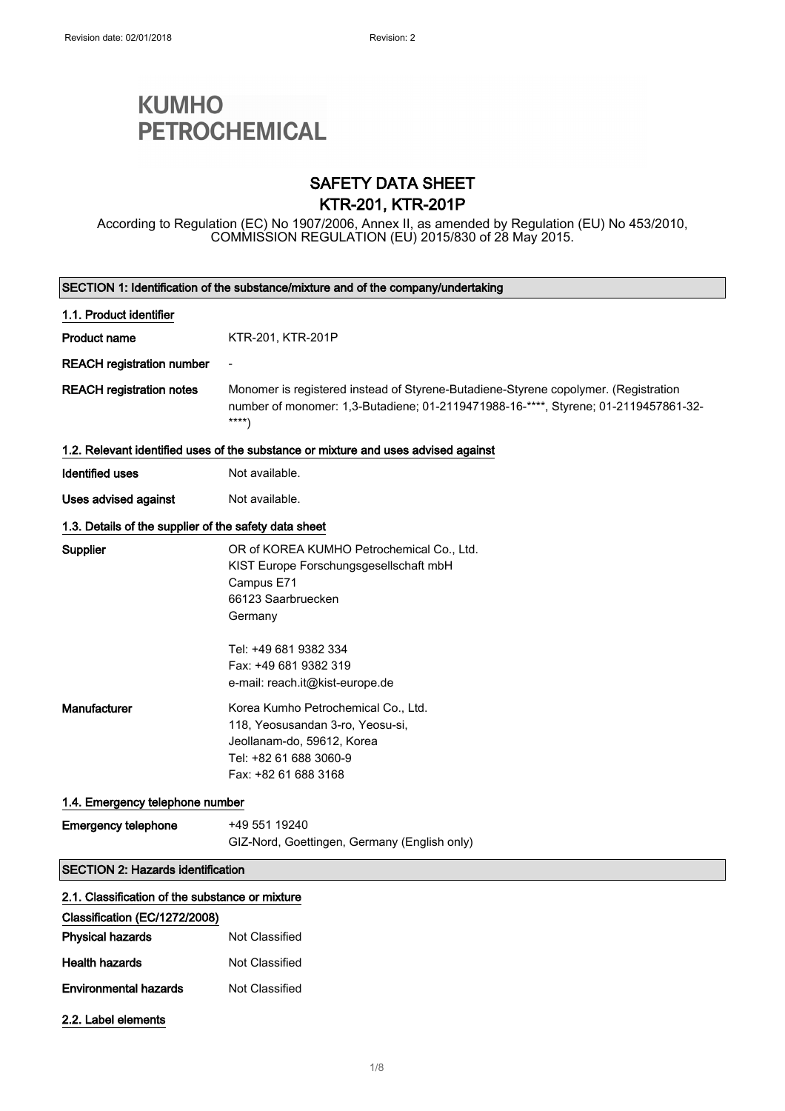# **KUMHO PETROCHEMICAL**

## SAFETY DATA SHEET KTR-201, KTR-201P

According to Regulation (EC) No 1907/2006, Annex II, as amended by Regulation (EU) No 453/2010, COMMISSION REGULATION (EU) 2015/830 of 28 May 2015.

| SECTION 1: Identification of the substance/mixture and of the company/undertaking |                                                                                                                                                                                                                         |  |  |
|-----------------------------------------------------------------------------------|-------------------------------------------------------------------------------------------------------------------------------------------------------------------------------------------------------------------------|--|--|
| 1.1. Product identifier                                                           |                                                                                                                                                                                                                         |  |  |
| <b>Product name</b>                                                               | KTR-201, KTR-201P                                                                                                                                                                                                       |  |  |
| <b>REACH registration number</b>                                                  |                                                                                                                                                                                                                         |  |  |
| <b>REACH registration notes</b>                                                   | Monomer is registered instead of Styrene-Butadiene-Styrene copolymer. (Registration<br>number of monomer: 1,3-Butadiene; 01-2119471988-16-****, Styrene; 01-2119457861-32-<br>$***$                                     |  |  |
|                                                                                   | 1.2. Relevant identified uses of the substance or mixture and uses advised against                                                                                                                                      |  |  |
| <b>Identified uses</b>                                                            | Not available.                                                                                                                                                                                                          |  |  |
| Uses advised against                                                              | Not available.                                                                                                                                                                                                          |  |  |
| 1.3. Details of the supplier of the safety data sheet                             |                                                                                                                                                                                                                         |  |  |
| Supplier                                                                          | OR of KOREA KUMHO Petrochemical Co., Ltd.<br>KIST Europe Forschungsgesellschaft mbH<br>Campus E71<br>66123 Saarbruecken<br>Germany<br>Tel: +49 681 9382 334<br>Fax: +49 681 9382 319<br>e-mail: reach.it@kist-europe.de |  |  |
| <b>Manufacturer</b>                                                               | Korea Kumho Petrochemical Co., Ltd.<br>118, Yeosusandan 3-ro, Yeosu-si,<br>Jeollanam-do, 59612, Korea<br>Tel: +82 61 688 3060-9<br>Fax: +82 61 688 3168                                                                 |  |  |
| 1.4. Emergency telephone number                                                   |                                                                                                                                                                                                                         |  |  |
| <b>Emergency telephone</b>                                                        | +49 551 19240<br>GIZ-Nord, Goettingen, Germany (English only)                                                                                                                                                           |  |  |
| <b>SECTION 2: Hazards identification</b>                                          |                                                                                                                                                                                                                         |  |  |
| 2.1. Classification of the substance or mixture                                   |                                                                                                                                                                                                                         |  |  |
| Classification (EC/1272/2008)                                                     |                                                                                                                                                                                                                         |  |  |
| <b>Physical hazards</b>                                                           | Not Classified                                                                                                                                                                                                          |  |  |
| <b>Health hazards</b>                                                             | Not Classified                                                                                                                                                                                                          |  |  |
| <b>Environmental hazards</b>                                                      | Not Classified                                                                                                                                                                                                          |  |  |
| 2.2. Label elements                                                               |                                                                                                                                                                                                                         |  |  |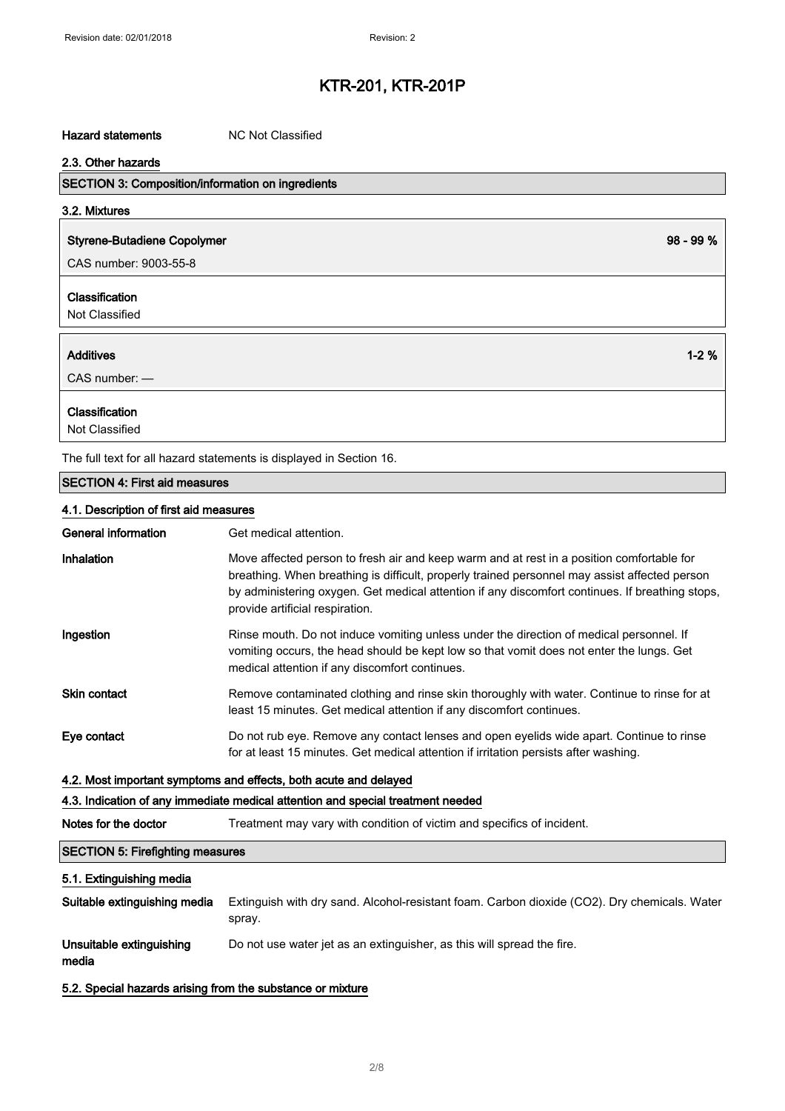### Hazard statements MC Not Classified

| 2.3. Other hazards                                                  |            |  |
|---------------------------------------------------------------------|------------|--|
| <b>SECTION 3: Composition/information on ingredients</b>            |            |  |
| 3.2. Mixtures                                                       |            |  |
| <b>Styrene-Butadiene Copolymer</b>                                  | $98 - 99%$ |  |
| CAS number: 9003-55-8                                               |            |  |
| Classification                                                      |            |  |
| Not Classified                                                      |            |  |
| <b>Additives</b>                                                    | $1 - 2%$   |  |
| $CAS$ number: $-$                                                   |            |  |
| Classification                                                      |            |  |
| Not Classified                                                      |            |  |
| The full text for all hazard statements is displayed in Section 16. |            |  |
| <b>SECTION 4: First aid measures</b>                                |            |  |

### 4.1. Description of first aid measures

| <b>General information</b>              | Get medical attention.                                                                                                                                                                                                                                                                                                           |
|-----------------------------------------|----------------------------------------------------------------------------------------------------------------------------------------------------------------------------------------------------------------------------------------------------------------------------------------------------------------------------------|
| <b>Inhalation</b>                       | Move affected person to fresh air and keep warm and at rest in a position comfortable for<br>breathing. When breathing is difficult, properly trained personnel may assist affected person<br>by administering oxygen. Get medical attention if any discomfort continues. If breathing stops,<br>provide artificial respiration. |
| Ingestion                               | Rinse mouth. Do not induce vomiting unless under the direction of medical personnel. If<br>vomiting occurs, the head should be kept low so that vomit does not enter the lungs. Get<br>medical attention if any discomfort continues.                                                                                            |
| <b>Skin contact</b>                     | Remove contaminated clothing and rinse skin thoroughly with water. Continue to rinse for at<br>least 15 minutes. Get medical attention if any discomfort continues.                                                                                                                                                              |
| Eye contact                             | Do not rub eye. Remove any contact lenses and open eyelids wide apart. Continue to rinse<br>for at least 15 minutes. Get medical attention if irritation persists after washing.                                                                                                                                                 |
|                                         | 4.2. Most important symptoms and effects, both acute and delayed                                                                                                                                                                                                                                                                 |
|                                         | 4.3. Indication of any immediate medical attention and special treatment needed                                                                                                                                                                                                                                                  |
| Notes for the doctor                    | Treatment may vary with condition of victim and specifics of incident.                                                                                                                                                                                                                                                           |
| <b>SECTION 5: Firefighting measures</b> |                                                                                                                                                                                                                                                                                                                                  |
| 5.1. Extinguishing media                |                                                                                                                                                                                                                                                                                                                                  |
| Suitable extinguishing media            | Extinguish with dry sand. Alcohol-resistant foam. Carbon dioxide (CO2). Dry chemicals. Water<br>spray.                                                                                                                                                                                                                           |
| Unsuitable extinguishing                | Do not use water jet as an extinguisher, as this will spread the fire.                                                                                                                                                                                                                                                           |

media

5.2. Special hazards arising from the substance or mixture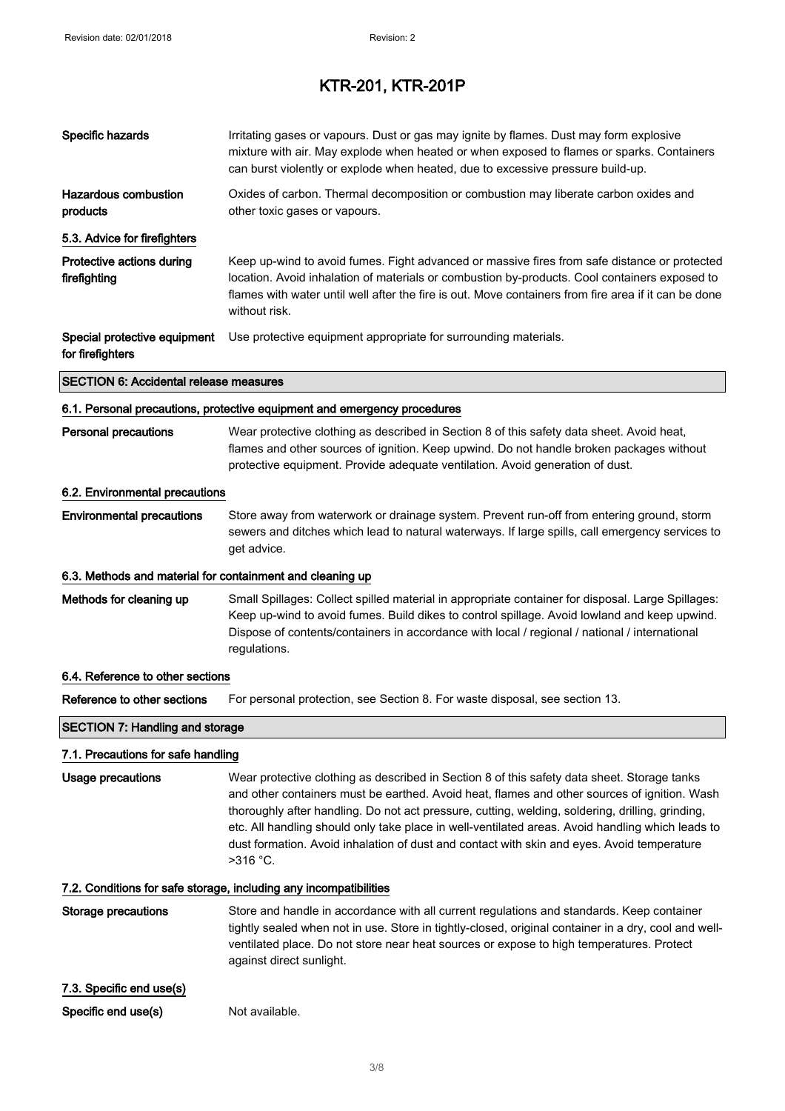| Specific hazards                                                         | Irritating gases or vapours. Dust or gas may ignite by flames. Dust may form explosive<br>mixture with air. May explode when heated or when exposed to flames or sparks. Containers<br>can burst violently or explode when heated, due to excessive pressure build-up.                                                                                                                                                                                                                                          |  |
|--------------------------------------------------------------------------|-----------------------------------------------------------------------------------------------------------------------------------------------------------------------------------------------------------------------------------------------------------------------------------------------------------------------------------------------------------------------------------------------------------------------------------------------------------------------------------------------------------------|--|
| Hazardous combustion<br>products                                         | Oxides of carbon. Thermal decomposition or combustion may liberate carbon oxides and<br>other toxic gases or vapours.                                                                                                                                                                                                                                                                                                                                                                                           |  |
| 5.3. Advice for firefighters                                             |                                                                                                                                                                                                                                                                                                                                                                                                                                                                                                                 |  |
| Protective actions during<br>firefighting                                | Keep up-wind to avoid fumes. Fight advanced or massive fires from safe distance or protected<br>location. Avoid inhalation of materials or combustion by-products. Cool containers exposed to<br>flames with water until well after the fire is out. Move containers from fire area if it can be done<br>without risk.                                                                                                                                                                                          |  |
| Special protective equipment<br>for firefighters                         | Use protective equipment appropriate for surrounding materials.                                                                                                                                                                                                                                                                                                                                                                                                                                                 |  |
| <b>SECTION 6: Accidental release measures</b>                            |                                                                                                                                                                                                                                                                                                                                                                                                                                                                                                                 |  |
| 6.1. Personal precautions, protective equipment and emergency procedures |                                                                                                                                                                                                                                                                                                                                                                                                                                                                                                                 |  |
| <b>Personal precautions</b>                                              | Wear protective clothing as described in Section 8 of this safety data sheet. Avoid heat,<br>flames and other sources of ignition. Keep upwind. Do not handle broken packages without<br>protective equipment. Provide adequate ventilation. Avoid generation of dust.                                                                                                                                                                                                                                          |  |
| 6.2. Environmental precautions                                           |                                                                                                                                                                                                                                                                                                                                                                                                                                                                                                                 |  |
| <b>Environmental precautions</b>                                         | Store away from waterwork or drainage system. Prevent run-off from entering ground, storm<br>sewers and ditches which lead to natural waterways. If large spills, call emergency services to<br>get advice.                                                                                                                                                                                                                                                                                                     |  |
| 6.3. Methods and material for containment and cleaning up                |                                                                                                                                                                                                                                                                                                                                                                                                                                                                                                                 |  |
| Methods for cleaning up                                                  | Small Spillages: Collect spilled material in appropriate container for disposal. Large Spillages:<br>Keep up-wind to avoid fumes. Build dikes to control spillage. Avoid lowland and keep upwind.<br>Dispose of contents/containers in accordance with local / regional / national / international<br>regulations.                                                                                                                                                                                              |  |
| 6.4. Reference to other sections                                         |                                                                                                                                                                                                                                                                                                                                                                                                                                                                                                                 |  |
| Reference to other sections                                              | For personal protection, see Section 8. For waste disposal, see section 13.                                                                                                                                                                                                                                                                                                                                                                                                                                     |  |
| <b>SECTION 7: Handling and storage</b>                                   |                                                                                                                                                                                                                                                                                                                                                                                                                                                                                                                 |  |
| 7.1. Precautions for safe handling                                       |                                                                                                                                                                                                                                                                                                                                                                                                                                                                                                                 |  |
| Usage precautions                                                        | Wear protective clothing as described in Section 8 of this safety data sheet. Storage tanks<br>and other containers must be earthed. Avoid heat, flames and other sources of ignition. Wash<br>thoroughly after handling. Do not act pressure, cutting, welding, soldering, drilling, grinding,<br>etc. All handling should only take place in well-ventilated areas. Avoid handling which leads to<br>dust formation. Avoid inhalation of dust and contact with skin and eyes. Avoid temperature<br>$>316$ °C. |  |
|                                                                          | 7.2. Conditions for safe storage, including any incompatibilities                                                                                                                                                                                                                                                                                                                                                                                                                                               |  |
| <b>Storage precautions</b>                                               | Store and handle in accordance with all current regulations and standards. Keep container<br>tightly sealed when not in use. Store in tightly-closed, original container in a dry, cool and well-<br>ventilated place. Do not store near heat sources or expose to high temperatures. Protect<br>against direct sunlight.                                                                                                                                                                                       |  |
| 7.3. Specific end use(s)                                                 |                                                                                                                                                                                                                                                                                                                                                                                                                                                                                                                 |  |
| Specific end use(s)                                                      | Not available.                                                                                                                                                                                                                                                                                                                                                                                                                                                                                                  |  |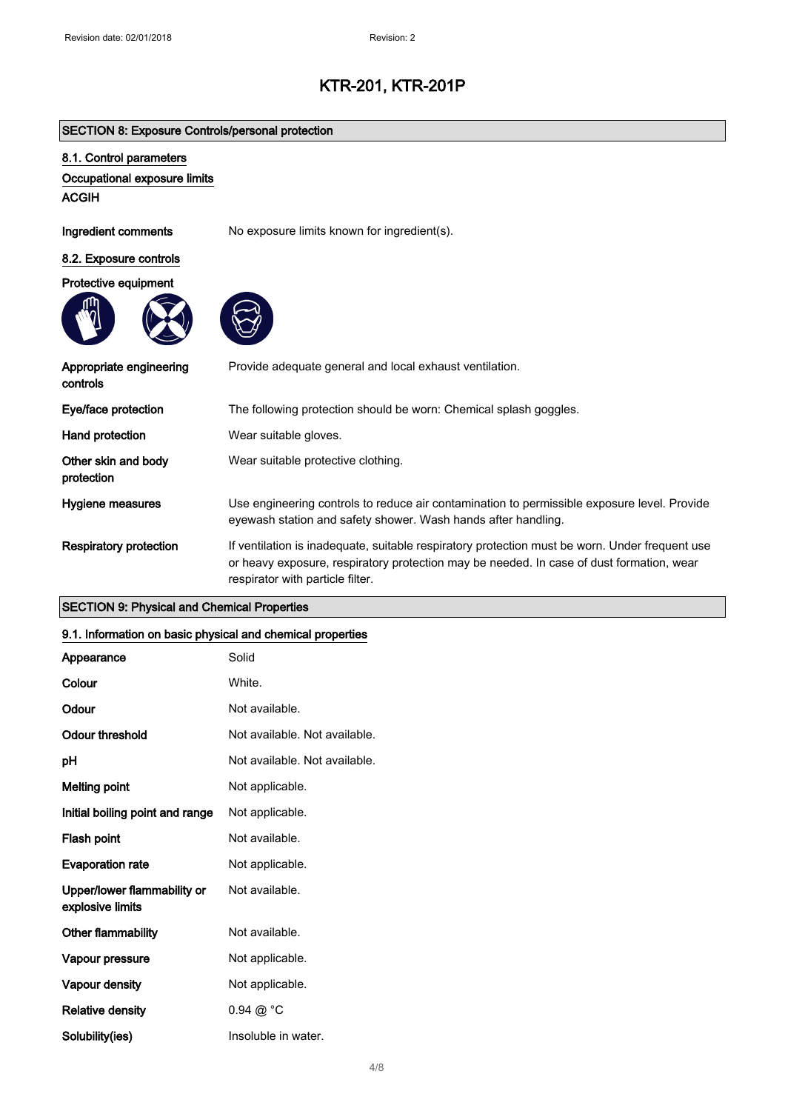### SECTION 8: Exposure Controls/personal protection

### 8.1. Control parameters

### Occupational exposure limits

ACGIH

Ingredient comments No exposure limits known for ingredient(s).

### 8.2. Exposure controls

### Protective equipment





| Appropriate engineering<br>controls | Provide adequate general and local exhaust ventilation.                                                                                                                                                                        |
|-------------------------------------|--------------------------------------------------------------------------------------------------------------------------------------------------------------------------------------------------------------------------------|
| Eye/face protection                 | The following protection should be worn: Chemical splash goggles.                                                                                                                                                              |
| Hand protection                     | Wear suitable gloves.                                                                                                                                                                                                          |
| Other skin and body<br>protection   | Wear suitable protective clothing.                                                                                                                                                                                             |
| Hygiene measures                    | Use engineering controls to reduce air contamination to permissible exposure level. Provide<br>eyewash station and safety shower. Wash hands after handling.                                                                   |
| <b>Respiratory protection</b>       | If ventilation is inadequate, suitable respiratory protection must be worn. Under frequent use<br>or heavy exposure, respiratory protection may be needed. In case of dust formation, wear<br>respirator with particle filter. |

### SECTION 9: Physical and Chemical Properties

### 9.1. Information on basic physical and chemical properties

| Appearance                                      | Solid                         |
|-------------------------------------------------|-------------------------------|
| Colour                                          | White.                        |
| Odour                                           | Not available.                |
| Odour threshold                                 | Not available. Not available. |
| рH                                              | Not available. Not available. |
| <b>Melting point</b>                            | Not applicable.               |
| Initial boiling point and range                 | Not applicable.               |
| Flash point                                     | Not available.                |
| <b>Evaporation rate</b>                         | Not applicable.               |
| Upper/lower flammability or<br>explosive limits | Not available.                |
| <b>Other flammability</b>                       | Not available.                |
| Vapour pressure                                 | Not applicable.               |
| Vapour density                                  | Not applicable.               |
| <b>Relative density</b>                         | $0.94 \ @ ^{\circ}C$          |
| Solubility(ies)                                 | Insoluble in water.           |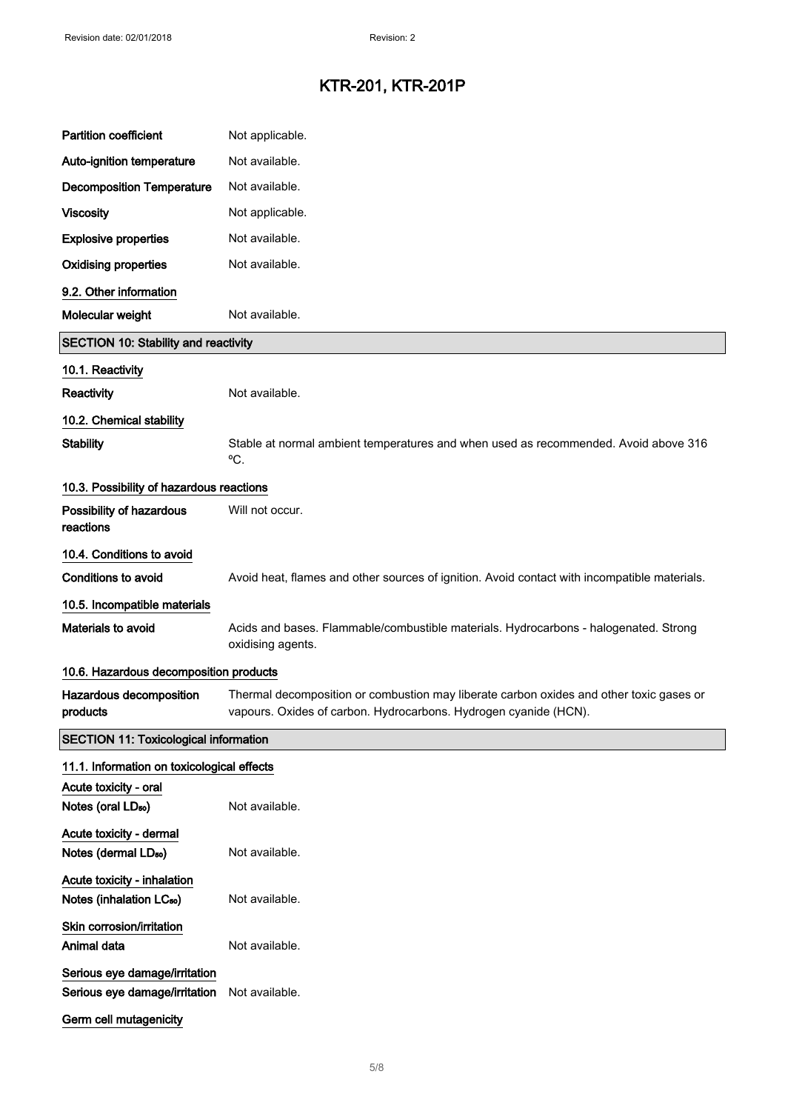| <b>Partition coefficient</b>                                        | Not applicable.                                                                                                                                             |
|---------------------------------------------------------------------|-------------------------------------------------------------------------------------------------------------------------------------------------------------|
| Auto-ignition temperature                                           | Not available.                                                                                                                                              |
| <b>Decomposition Temperature</b>                                    | Not available.                                                                                                                                              |
| <b>Viscosity</b>                                                    | Not applicable.                                                                                                                                             |
| <b>Explosive properties</b>                                         | Not available.                                                                                                                                              |
| <b>Oxidising properties</b>                                         | Not available.                                                                                                                                              |
| 9.2. Other information                                              |                                                                                                                                                             |
| Molecular weight                                                    | Not available.                                                                                                                                              |
| <b>SECTION 10: Stability and reactivity</b>                         |                                                                                                                                                             |
| 10.1. Reactivity                                                    |                                                                                                                                                             |
| Reactivity                                                          | Not available.                                                                                                                                              |
| 10.2. Chemical stability                                            |                                                                                                                                                             |
| <b>Stability</b>                                                    | Stable at normal ambient temperatures and when used as recommended. Avoid above 316<br>°C.                                                                  |
| 10.3. Possibility of hazardous reactions                            |                                                                                                                                                             |
| Possibility of hazardous<br>reactions                               | Will not occur.                                                                                                                                             |
| 10.4. Conditions to avoid                                           |                                                                                                                                                             |
| <b>Conditions to avoid</b>                                          | Avoid heat, flames and other sources of ignition. Avoid contact with incompatible materials.                                                                |
| 10.5. Incompatible materials                                        |                                                                                                                                                             |
| Materials to avoid                                                  | Acids and bases. Flammable/combustible materials. Hydrocarbons - halogenated. Strong<br>oxidising agents.                                                   |
| 10.6. Hazardous decomposition products                              |                                                                                                                                                             |
| Hazardous decomposition<br>products                                 | Thermal decomposition or combustion may liberate carbon oxides and other toxic gases or<br>vapours. Oxides of carbon. Hydrocarbons. Hydrogen cyanide (HCN). |
| <b>SECTION 11: Toxicological information</b>                        |                                                                                                                                                             |
| 11.1. Information on toxicological effects                          |                                                                                                                                                             |
| Acute toxicity - oral<br>Notes (oral LD <sub>50</sub> )             | Not available.                                                                                                                                              |
| Acute toxicity - dermal<br>Notes (dermal LD <sub>50</sub> )         | Not available.                                                                                                                                              |
| Acute toxicity - inhalation<br>Notes (inhalation LC <sub>50</sub> ) | Not available.                                                                                                                                              |
| Skin corrosion/irritation<br>Animal data                            | Not available.                                                                                                                                              |
| Serious eye damage/irritation<br>Serious eye damage/irritation      | Not available.                                                                                                                                              |
| Germ cell mutagenicity                                              |                                                                                                                                                             |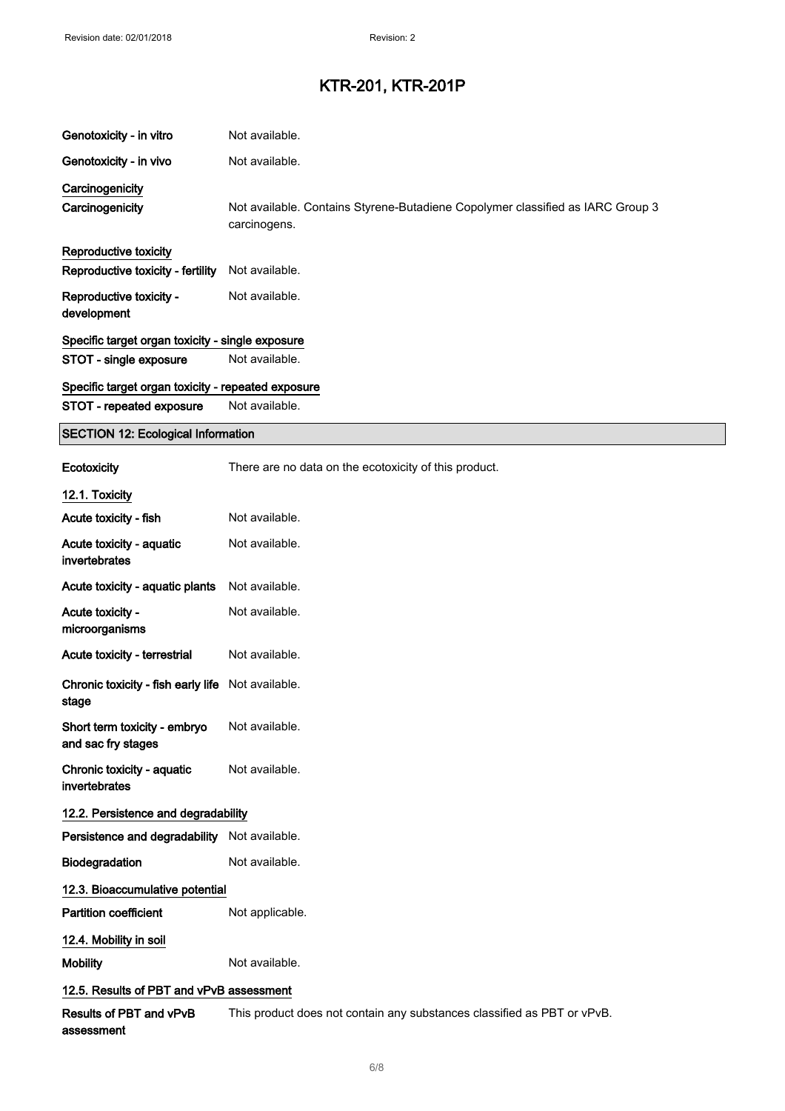| Genotoxicity - in vitro                            | Not available.                                                                                 |
|----------------------------------------------------|------------------------------------------------------------------------------------------------|
| Genotoxicity - in vivo                             | Not available.                                                                                 |
| Carcinogenicity                                    |                                                                                                |
| Carcinogenicity                                    | Not available. Contains Styrene-Butadiene Copolymer classified as IARC Group 3<br>carcinogens. |
| Reproductive toxicity                              |                                                                                                |
| Reproductive toxicity - fertility                  | Not available.                                                                                 |
| Reproductive toxicity -<br>development             | Not available.                                                                                 |
| Specific target organ toxicity - single exposure   |                                                                                                |
| STOT - single exposure                             | Not available.                                                                                 |
| Specific target organ toxicity - repeated exposure |                                                                                                |
| STOT - repeated exposure                           | Not available.                                                                                 |
| <b>SECTION 12: Ecological Information</b>          |                                                                                                |
| Ecotoxicity                                        | There are no data on the ecotoxicity of this product.                                          |
| 12.1. Toxicity                                     |                                                                                                |

and the

| 12.1. LOXICITY                                             |                                                                         |
|------------------------------------------------------------|-------------------------------------------------------------------------|
| Acute toxicity - fish                                      | Not available.                                                          |
| Acute toxicity - aquatic<br>invertebrates                  | Not available.                                                          |
| Acute toxicity - aquatic plants                            | Not available.                                                          |
| Acute toxicity -<br>microorganisms                         | Not available.                                                          |
| Acute toxicity - terrestrial                               | Not available.                                                          |
| Chronic toxicity - fish early life Not available.<br>stage |                                                                         |
| Short term toxicity - embryo<br>and sac fry stages         | Not available.                                                          |
| Chronic toxicity - aquatic<br>invertebrates                | Not available.                                                          |
| 12.2. Persistence and degradability                        |                                                                         |
| Persistence and degradability Not available.               |                                                                         |
| Biodegradation                                             | Not available.                                                          |
| 12.3. Bioaccumulative potential                            |                                                                         |
| <b>Partition coefficient</b>                               | Not applicable.                                                         |
| 12.4. Mobility in soil                                     |                                                                         |
| <b>Mobility</b>                                            | Not available.                                                          |
| 12.5. Results of PBT and vPvB assessment                   |                                                                         |
| Results of PBT and vPvB<br>assessment                      | This product does not contain any substances classified as PBT or vPvB. |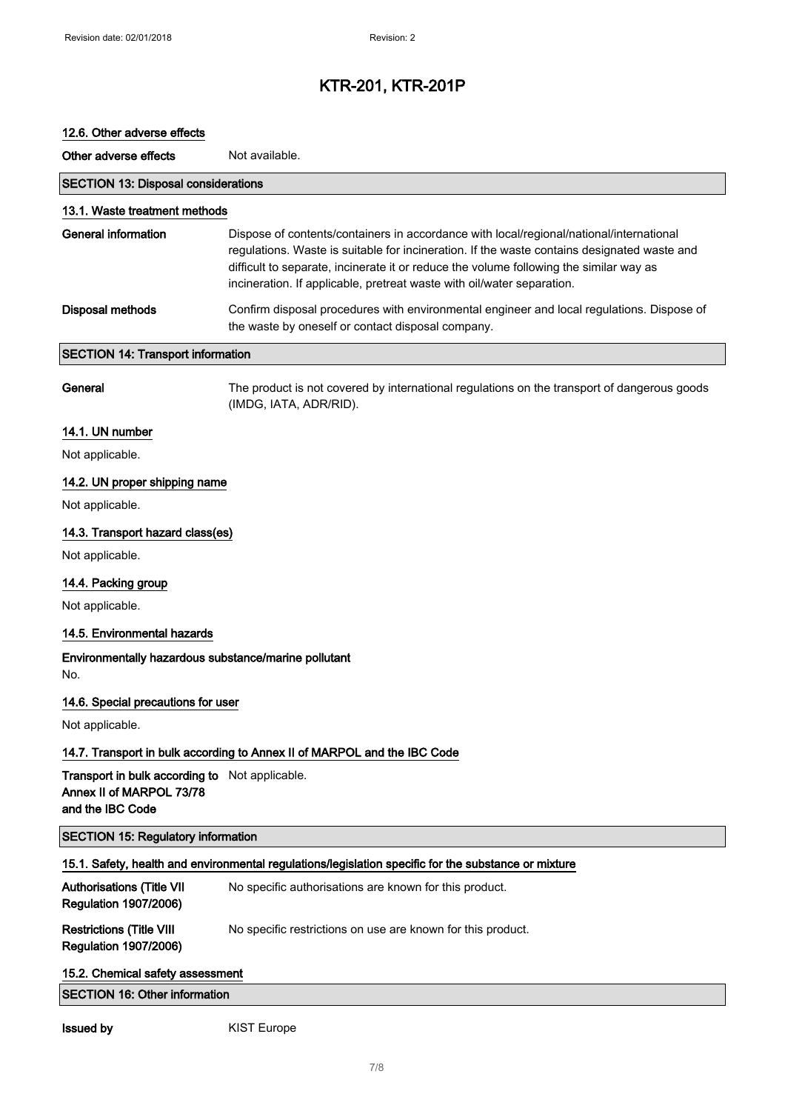# 12.6. Other adverse effects

Other adverse effects Not available.

| <b>SECTION 13: Disposal considerations</b>                                                     |                                                                                                                                                                                                                                                                                                                                                            |
|------------------------------------------------------------------------------------------------|------------------------------------------------------------------------------------------------------------------------------------------------------------------------------------------------------------------------------------------------------------------------------------------------------------------------------------------------------------|
| 13.1. Waste treatment methods                                                                  |                                                                                                                                                                                                                                                                                                                                                            |
| <b>General information</b>                                                                     | Dispose of contents/containers in accordance with local/regional/national/international<br>regulations. Waste is suitable for incineration. If the waste contains designated waste and<br>difficult to separate, incinerate it or reduce the volume following the similar way as<br>incineration. If applicable, pretreat waste with oil/water separation. |
| <b>Disposal methods</b>                                                                        | Confirm disposal procedures with environmental engineer and local regulations. Dispose of<br>the waste by oneself or contact disposal company.                                                                                                                                                                                                             |
| <b>SECTION 14: Transport information</b>                                                       |                                                                                                                                                                                                                                                                                                                                                            |
| General                                                                                        | The product is not covered by international regulations on the transport of dangerous goods<br>(IMDG, IATA, ADR/RID).                                                                                                                                                                                                                                      |
| 14.1. UN number                                                                                |                                                                                                                                                                                                                                                                                                                                                            |
| Not applicable.                                                                                |                                                                                                                                                                                                                                                                                                                                                            |
| 14.2. UN proper shipping name                                                                  |                                                                                                                                                                                                                                                                                                                                                            |
| Not applicable.                                                                                |                                                                                                                                                                                                                                                                                                                                                            |
| 14.3. Transport hazard class(es)                                                               |                                                                                                                                                                                                                                                                                                                                                            |
| Not applicable.                                                                                |                                                                                                                                                                                                                                                                                                                                                            |
| 14.4. Packing group                                                                            |                                                                                                                                                                                                                                                                                                                                                            |
| Not applicable.                                                                                |                                                                                                                                                                                                                                                                                                                                                            |
| 14.5. Environmental hazards                                                                    |                                                                                                                                                                                                                                                                                                                                                            |
| Environmentally hazardous substance/marine pollutant<br>No.                                    |                                                                                                                                                                                                                                                                                                                                                            |
| 14.6. Special precautions for user                                                             |                                                                                                                                                                                                                                                                                                                                                            |
| Not applicable.                                                                                |                                                                                                                                                                                                                                                                                                                                                            |
|                                                                                                | 14.7. Transport in bulk according to Annex II of MARPOL and the IBC Code                                                                                                                                                                                                                                                                                   |
| Transport in bulk according to Not applicable.<br>Annex II of MARPOL 73/78<br>and the IBC Code |                                                                                                                                                                                                                                                                                                                                                            |
| <b>SECTION 15: Regulatory information</b>                                                      |                                                                                                                                                                                                                                                                                                                                                            |
|                                                                                                | 15.1. Safety, health and environmental regulations/legislation specific for the substance or mixture                                                                                                                                                                                                                                                       |
| <b>Authorisations (Title VII</b><br><b>Regulation 1907/2006)</b>                               | No specific authorisations are known for this product.                                                                                                                                                                                                                                                                                                     |
| <b>Restrictions (Title VIII</b><br><b>Regulation 1907/2006)</b>                                | No specific restrictions on use are known for this product.                                                                                                                                                                                                                                                                                                |
| 15.2. Chemical safety assessment                                                               |                                                                                                                                                                                                                                                                                                                                                            |
| <b>SECTION 16: Other information</b>                                                           |                                                                                                                                                                                                                                                                                                                                                            |
| <b>Issued by</b>                                                                               | <b>KIST Europe</b>                                                                                                                                                                                                                                                                                                                                         |